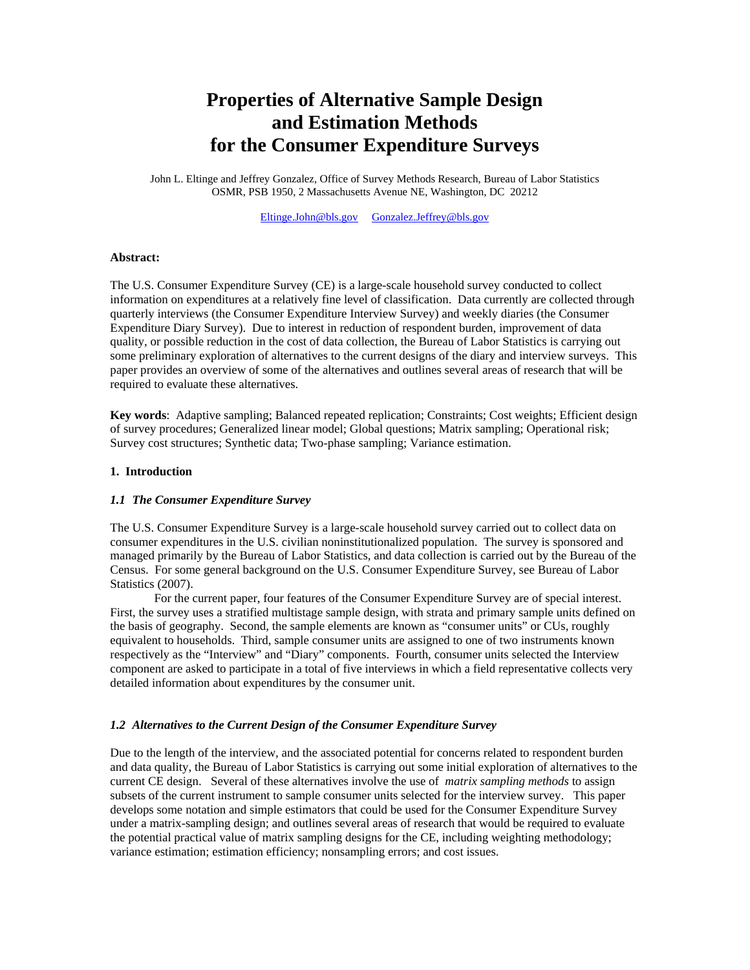# **Properties of Alternative Sample Design and Estimation Methods for the Consumer Expenditure Surveys**

John L. Eltinge and Jeffrey Gonzalez, Office of Survey Methods Research, Bureau of Labor Statistics OSMR, PSB 1950, 2 Massachusetts Avenue NE, Washington, DC 20212

Eltinge.John@bls.gov Gonzalez.Jeffrey@bls.gov

#### **Abstract:**

The U.S. Consumer Expenditure Survey (CE) is a large-scale household survey conducted to collect information on expenditures at a relatively fine level of classification. Data currently are collected through quarterly interviews (the Consumer Expenditure Interview Survey) and weekly diaries (the Consumer Expenditure Diary Survey). Due to interest in reduction of respondent burden, improvement of data quality, or possible reduction in the cost of data collection, the Bureau of Labor Statistics is carrying out some preliminary exploration of alternatives to the current designs of the diary and interview surveys. This paper provides an overview of some of the alternatives and outlines several areas of research that will be required to evaluate these alternatives.

**Key words**: Adaptive sampling; Balanced repeated replication; Constraints; Cost weights; Efficient design of survey procedures; Generalized linear model; Global questions; Matrix sampling; Operational risk; Survey cost structures; Synthetic data; Two-phase sampling; Variance estimation.

#### **1. Introduction**

## *1.1 The Consumer Expenditure Survey*

The U.S. Consumer Expenditure Survey is a large-scale household survey carried out to collect data on consumer expenditures in the U.S. civilian noninstitutionalized population. The survey is sponsored and managed primarily by the Bureau of Labor Statistics, and data collection is carried out by the Bureau of the Census. For some general background on the U.S. Consumer Expenditure Survey, see Bureau of Labor Statistics (2007).

 For the current paper, four features of the Consumer Expenditure Survey are of special interest. First, the survey uses a stratified multistage sample design, with strata and primary sample units defined on the basis of geography. Second, the sample elements are known as "consumer units" or CUs, roughly equivalent to households. Third, sample consumer units are assigned to one of two instruments known respectively as the "Interview" and "Diary" components. Fourth, consumer units selected the Interview component are asked to participate in a total of five interviews in which a field representative collects very detailed information about expenditures by the consumer unit.

#### *1.2 Alternatives to the Current Design of the Consumer Expenditure Survey*

Due to the length of the interview, and the associated potential for concerns related to respondent burden and data quality, the Bureau of Labor Statistics is carrying out some initial exploration of alternatives to the current CE design. Several of these alternatives involve the use of *matrix sampling methods* to assign subsets of the current instrument to sample consumer units selected for the interview survey. This paper develops some notation and simple estimators that could be used for the Consumer Expenditure Survey under a matrix-sampling design; and outlines several areas of research that would be required to evaluate the potential practical value of matrix sampling designs for the CE, including weighting methodology; variance estimation; estimation efficiency; nonsampling errors; and cost issues.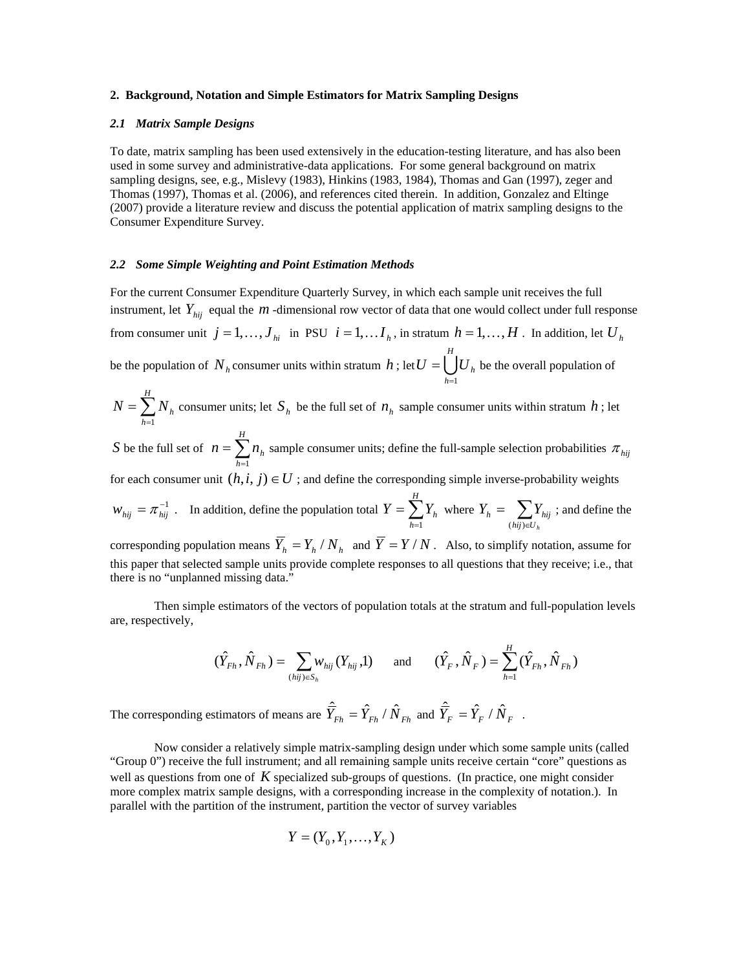#### **2. Background, Notation and Simple Estimators for Matrix Sampling Designs**

## *2.1 Matrix Sample Designs*

To date, matrix sampling has been used extensively in the education-testing literature, and has also been used in some survey and administrative-data applications. For some general background on matrix sampling designs, see, e.g., Mislevy (1983), Hinkins (1983, 1984), Thomas and Gan (1997), zeger and Thomas (1997), Thomas et al. (2006), and references cited therein. In addition, Gonzalez and Eltinge (2007) provide a literature review and discuss the potential application of matrix sampling designs to the Consumer Expenditure Survey.

#### *2.2 Some Simple Weighting and Point Estimation Methods*

For the current Consumer Expenditure Quarterly Survey, in which each sample unit receives the full instrument, let  $Y_{hii}$  equal the  $m$  -dimensional row vector of data that one would collect under full response from consumer unit  $j = 1, ..., J_{hi}$  in PSU  $i = 1, ..., I_h$ , in stratum  $h = 1, ..., H$ . In addition, let  $U_h$ be the population of  $N_h$  consumer units within stratum  $h$ ; let  $U = \bigcup_{h=1}^{h-1} I_h$ *H h*  $U=\bigcup U_h$ =1  $=$   $\bigcup U_h$  be the overall population of *H*

 $=\sum_{h=1}$ *h*  $N = \sum N_h$  consumer units; let  $S_h$  be the full set of  $n_h$  sample consumer units within stratum  $h$ ; let 1 *H*

*S* be the full set of  $n = \sum_{h=1}^{\infty}$ *h*  $n = \sum n_h$ 1 sample consumer units; define the full-sample selection probabilities  $\pi_{\text{hij}}$ 

for each consumer unit  $(h,i,j) \in U$ ; and define the corresponding simple inverse-probability weights

 $w_{hij} = \pi^{-1}_{hij}$ . In addition, define the population total  $Y = \sum_{h=1}^{N}$ *H h*  $Y = \sum Y_h$  $\sum_{i=1}^{n} Y_{h}$  where  $Y_{h} = \sum_{(hij)\in U}$  $hij) \in U_h$  $Y_h = \sum Y_{hij}$ (hij) ; and define the

corresponding population means  $\overline{Y}_h = Y_h / N_h$  and  $\overline{Y} = Y / N$ . Also, to simplify notation, assume for this paper that selected sample units provide complete responses to all questions that they receive; i.e., that there is no "unplanned missing data."

Then simple estimators of the vectors of population totals at the stratum and full-population levels are, respectively,

$$
(\hat{Y}_{Fh}, \hat{N}_{Fh}) = \sum_{(hij)\in S_h} w_{hij} (Y_{hij}, 1) \quad \text{and} \quad (\hat{Y}_F, \hat{N}_F) = \sum_{h=1}^H (\hat{Y}_{Fh}, \hat{N}_{Fh})
$$

*H*

The corresponding estimators of means are  $\hat{\vec{Y}}_{Fh} = \hat{Y}_{Fh} / \hat{N}_{Fh}$  and  $\hat{\vec{Y}}_F = \hat{Y}_F / \hat{N}_F$ .

 Now consider a relatively simple matrix-sampling design under which some sample units (called "Group 0") receive the full instrument; and all remaining sample units receive certain "core" questions as well as questions from one of *K* specialized sub-groups of questions. (In practice, one might consider more complex matrix sample designs, with a corresponding increase in the complexity of notation.). In parallel with the partition of the instrument, partition the vector of survey variables

$$
Y = (Y_0, Y_1, \ldots, Y_K)
$$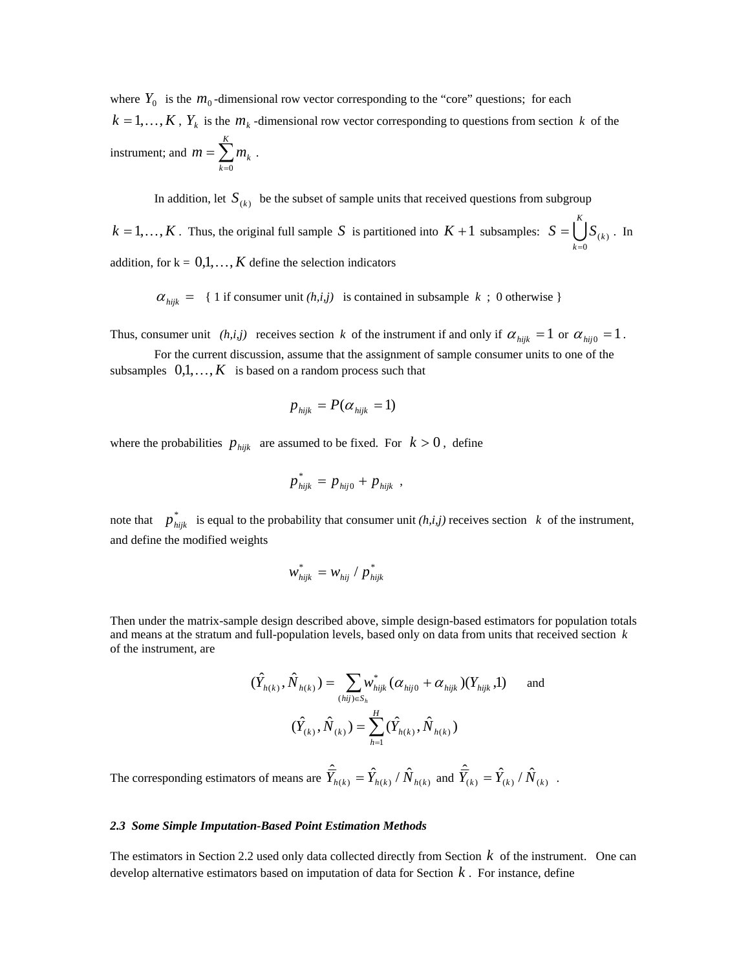where  $Y_0$  is the  $m_0$ -dimensional row vector corresponding to the "core" questions; for each  $k = 1,...,K$ ,  $Y_k$  is the  $m_k$ -dimensional row vector corresponding to questions from section *k* of the instrument; and  $m = \sum_{k=0}^{n}$ *K k*  $m = \sum m_k$ 0 .

In addition, let  $S_{(k)}$  be the subset of sample units that received questions from subgroup

 $k = 1,...,K$ . Thus, the original full sample *S* is partitioned into  $K + 1$  subsamples:  $S = \bigcup_{k=0}^{K} S_k$ *K k*  $S = \bigcup S_{(k)}$ 0  $(k)$ =  $=$   $\int$   $S_{(k)}$ . In addition, for  $k = 0,1,\ldots,K$  define the selection indicators

 $\alpha_{hijk}$  = { 1 if consumer unit *(h,i,j)* is contained in subsample *k* ; 0 otherwise }

Thus, consumer unit *(h,i,j)* receives section *k* of the instrument if and only if  $\alpha_{hijk} = 1$  or  $\alpha_{hij0} = 1$ .

 For the current discussion, assume that the assignment of sample consumer units to one of the subsamples  $0,1,\ldots,K$  is based on a random process such that

$$
p_{\text{hijk}} = P(\alpha_{\text{hijk}} = 1)
$$

where the probabilities  $p_{hijk}$  are assumed to be fixed. For  $k > 0$ , define

$$
p_{hijk}^* = p_{hij0} + p_{hijk} ,
$$

note that  $p_{hijk}^*$  is equal to the probability that consumer unit *(h,i,j)* receives section *k* of the instrument, and define the modified weights

$$
w_{hijk}^* = w_{hij} / p_{hijk}^*
$$

Then under the matrix-sample design described above, simple design-based estimators for population totals and means at the stratum and full-population levels, based only on data from units that received section *k* of the instrument, are

$$
(\hat{Y}_{h(k)}, \hat{N}_{h(k)}) = \sum_{(hij)\in S_h} w_{hijk}^* (\alpha_{hij0} + \alpha_{hijk}) (Y_{hijk}, 1)
$$
 and  

$$
(\hat{Y}_{(k)}, \hat{N}_{(k)}) = \sum_{h=1}^H (\hat{Y}_{h(k)}, \hat{N}_{h(k)})
$$

The corresponding estimators of means are  $\hat{\overline{Y}}_{h(k)} = \hat{Y}_{h(k)}/\hat{N}_{h(k)}$  and  $\hat{\overline{Y}}_{(k)} = \hat{Y}_{(k)}/\hat{N}_{(k)}$ .

# *2.3 Some Simple Imputation-Based Point Estimation Methods*

The estimators in Section 2.2 used only data collected directly from Section *k* of the instrument. One can develop alternative estimators based on imputation of data for Section *k* . For instance, define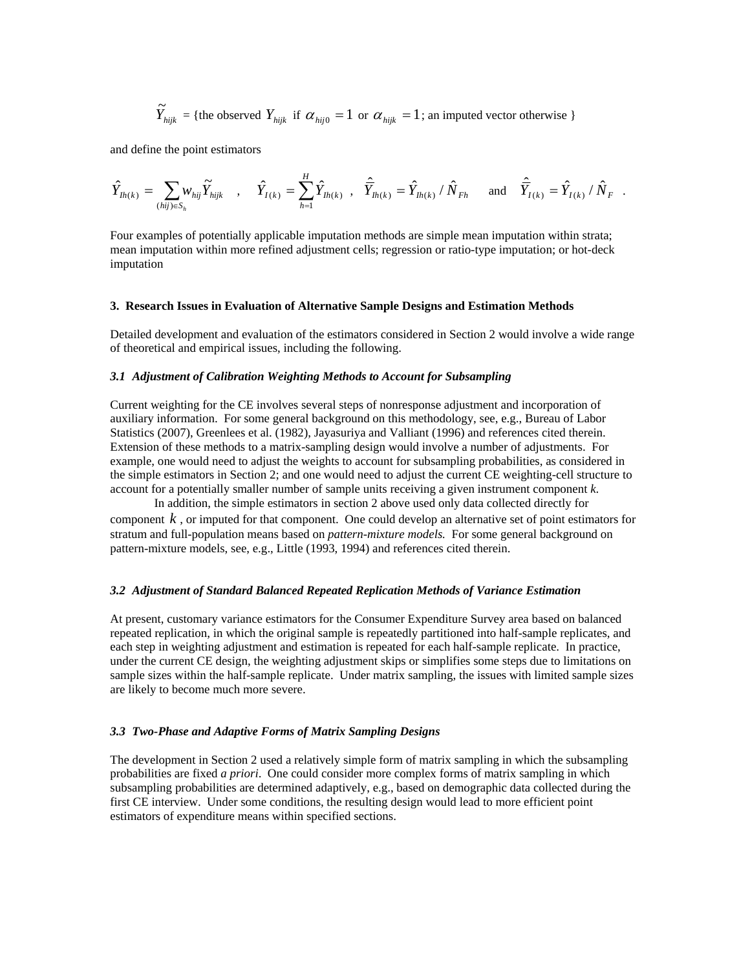$$
\widetilde{Y}_{hijk} = \{ \text{the observed } Y_{hijk} \text{ if } \alpha_{hij0} = 1 \text{ or } \alpha_{hijk} = 1 \text{; an imputed vector otherwise } \}
$$

and define the point estimators

$$
\hat{Y}_{lh(k)} = \sum_{(hij)\in S_h} w_{hij} \tilde{Y}_{hijk} \quad , \quad \hat{Y}_{I(k)} = \sum_{h=1}^H \hat{Y}_{lh(k)} \quad , \quad \hat{\overline{Y}}_{lh(k)} = \hat{Y}_{lh(k)} / \hat{N}_{Fh} \quad \text{and} \quad \hat{\overline{Y}}_{I(k)} = \hat{Y}_{I(k)} / \hat{N}_{F} \quad .
$$

Four examples of potentially applicable imputation methods are simple mean imputation within strata; mean imputation within more refined adjustment cells; regression or ratio-type imputation; or hot-deck imputation

#### **3. Research Issues in Evaluation of Alternative Sample Designs and Estimation Methods**

Detailed development and evaluation of the estimators considered in Section 2 would involve a wide range of theoretical and empirical issues, including the following.

# *3.1 Adjustment of Calibration Weighting Methods to Account for Subsampling*

Current weighting for the CE involves several steps of nonresponse adjustment and incorporation of auxiliary information. For some general background on this methodology, see, e.g., Bureau of Labor Statistics (2007), Greenlees et al. (1982), Jayasuriya and Valliant (1996) and references cited therein. Extension of these methods to a matrix-sampling design would involve a number of adjustments. For example, one would need to adjust the weights to account for subsampling probabilities, as considered in the simple estimators in Section 2; and one would need to adjust the current CE weighting-cell structure to account for a potentially smaller number of sample units receiving a given instrument component *k*.

 In addition, the simple estimators in section 2 above used only data collected directly for component *k* , or imputed for that component. One could develop an alternative set of point estimators for stratum and full-population means based on *pattern-mixture models.* For some general background on pattern-mixture models, see, e.g., Little (1993, 1994) and references cited therein.

#### *3.2 Adjustment of Standard Balanced Repeated Replication Methods of Variance Estimation*

At present, customary variance estimators for the Consumer Expenditure Survey area based on balanced repeated replication, in which the original sample is repeatedly partitioned into half-sample replicates, and each step in weighting adjustment and estimation is repeated for each half-sample replicate. In practice, under the current CE design, the weighting adjustment skips or simplifies some steps due to limitations on sample sizes within the half-sample replicate. Under matrix sampling, the issues with limited sample sizes are likely to become much more severe.

#### *3.3 Two-Phase and Adaptive Forms of Matrix Sampling Designs*

The development in Section 2 used a relatively simple form of matrix sampling in which the subsampling probabilities are fixed *a priori*. One could consider more complex forms of matrix sampling in which subsampling probabilities are determined adaptively, e.g., based on demographic data collected during the first CE interview. Under some conditions, the resulting design would lead to more efficient point estimators of expenditure means within specified sections.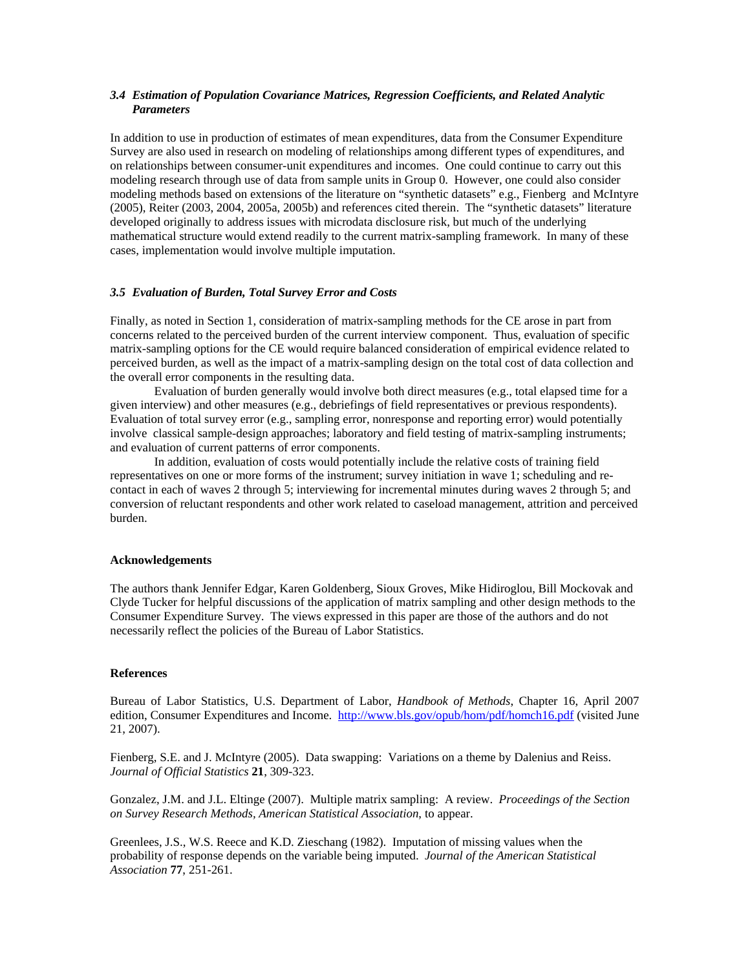# *3.4 Estimation of Population Covariance Matrices, Regression Coefficients, and Related Analytic Parameters*

In addition to use in production of estimates of mean expenditures, data from the Consumer Expenditure Survey are also used in research on modeling of relationships among different types of expenditures, and on relationships between consumer-unit expenditures and incomes. One could continue to carry out this modeling research through use of data from sample units in Group 0. However, one could also consider modeling methods based on extensions of the literature on "synthetic datasets" e.g., Fienberg and McIntyre (2005), Reiter (2003, 2004, 2005a, 2005b) and references cited therein. The "synthetic datasets" literature developed originally to address issues with microdata disclosure risk, but much of the underlying mathematical structure would extend readily to the current matrix-sampling framework. In many of these cases, implementation would involve multiple imputation.

# *3.5 Evaluation of Burden, Total Survey Error and Costs*

Finally, as noted in Section 1, consideration of matrix-sampling methods for the CE arose in part from concerns related to the perceived burden of the current interview component. Thus, evaluation of specific matrix-sampling options for the CE would require balanced consideration of empirical evidence related to perceived burden, as well as the impact of a matrix-sampling design on the total cost of data collection and the overall error components in the resulting data.

 Evaluation of burden generally would involve both direct measures (e.g., total elapsed time for a given interview) and other measures (e.g., debriefings of field representatives or previous respondents). Evaluation of total survey error (e.g., sampling error, nonresponse and reporting error) would potentially involve classical sample-design approaches; laboratory and field testing of matrix-sampling instruments; and evaluation of current patterns of error components.

 In addition, evaluation of costs would potentially include the relative costs of training field representatives on one or more forms of the instrument; survey initiation in wave 1; scheduling and recontact in each of waves 2 through 5; interviewing for incremental minutes during waves 2 through 5; and conversion of reluctant respondents and other work related to caseload management, attrition and perceived burden.

## **Acknowledgements**

The authors thank Jennifer Edgar, Karen Goldenberg, Sioux Groves, Mike Hidiroglou, Bill Mockovak and Clyde Tucker for helpful discussions of the application of matrix sampling and other design methods to the Consumer Expenditure Survey. The views expressed in this paper are those of the authors and do not necessarily reflect the policies of the Bureau of Labor Statistics.

## **References**

Bureau of Labor Statistics, U.S. Department of Labor, *Handbook of Methods*, Chapter 16, April 2007 edition, Consumer Expenditures and Income. http://www.bls.gov/opub/hom/pdf/homch16.pdf (visited June 21, 2007).

Fienberg, S.E. and J. McIntyre (2005). Data swapping: Variations on a theme by Dalenius and Reiss. *Journal of Official Statistics* **21**, 309-323.

Gonzalez, J.M. and J.L. Eltinge (2007). Multiple matrix sampling: A review. *Proceedings of the Section on Survey Research Methods, American Statistical Association*, to appear.

Greenlees, J.S., W.S. Reece and K.D. Zieschang (1982). Imputation of missing values when the probability of response depends on the variable being imputed. *Journal of the American Statistical Association* **77**, 251-261.